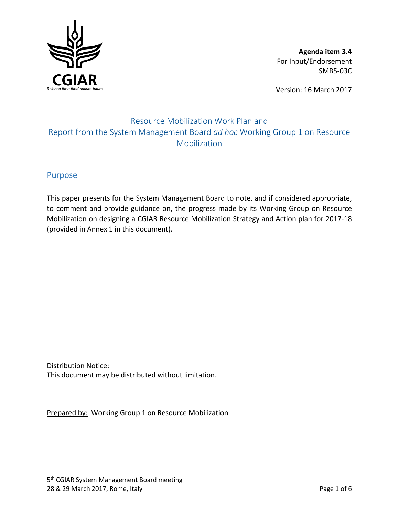

**Agenda item 3.4** For Input/Endorsement SMB5-03C

Version: 16 March 2017

## Resource Mobilization Work Plan and Report from the System Management Board *ad hoc* Working Group 1 on Resource Mobilization

## Purpose

This paper presents for the System Management Board to note, and if considered appropriate, to comment and provide guidance on, the progress made by its Working Group on Resource Mobilization on designing a CGIAR Resource Mobilization Strategy and Action plan for 2017-18 (provided in Annex 1 in this document).

Distribution Notice: This document may be distributed without limitation.

Prepared by: Working Group 1 on Resource Mobilization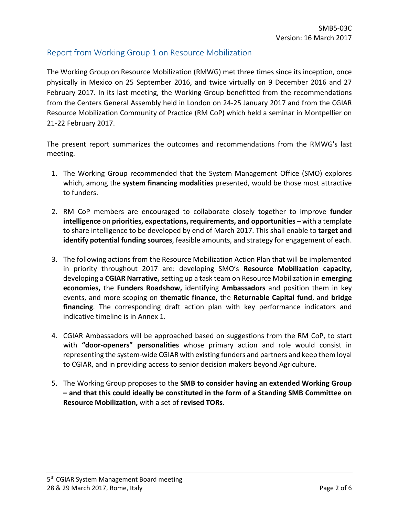## Report from Working Group 1 on Resource Mobilization

The Working Group on Resource Mobilization (RMWG) met three times since its inception, once physically in Mexico on 25 September 2016, and twice virtually on 9 December 2016 and 27 February 2017. In its last meeting, the Working Group benefitted from the recommendations from the Centers General Assembly held in London on 24-25 January 2017 and from the CGIAR Resource Mobilization Community of Practice (RM CoP) which held a seminar in Montpellier on 21-22 February 2017.

The present report summarizes the outcomes and recommendations from the RMWG's last meeting.

- 1. The Working Group recommended that the System Management Office (SMO) explores which, among the **system financing modalities** presented, would be those most attractive to funders.
- 2. RM CoP members are encouraged to collaborate closely together to improve **funder intelligence** on **priorities, expectations, requirements, and opportunities** – with a template to share intelligence to be developed by end of March 2017. This shall enable to **target and identify potential funding sources**, feasible amounts, and strategy for engagement of each.
- 3. The following actions from the Resource Mobilization Action Plan that will be implemented in priority throughout 2017 are: developing SMO's **Resource Mobilization capacity,**  developing a **CGIAR Narrative,** setting up a task team on Resource Mobilization in **emerging economies,** the **Funders Roadshow,** identifying **Ambassadors** and position them in key events, and more scoping on **thematic finance**, the **Returnable Capital fund**, and **bridge financing**. The corresponding draft action plan with key performance indicators and indicative timeline is in Annex 1.
- 4. CGIAR Ambassadors will be approached based on suggestions from the RM CoP, to start with **"door-openers" personalities** whose primary action and role would consist in representing the system-wide CGIAR with existing funders and partners and keep them loyal to CGIAR, and in providing access to senior decision makers beyond Agriculture.
- 5. The Working Group proposes to the **SMB to consider having an extended Working Group – and that this could ideally be constituted in the form of a Standing SMB Committee on Resource Mobilization,** with a set of **revised TORs**.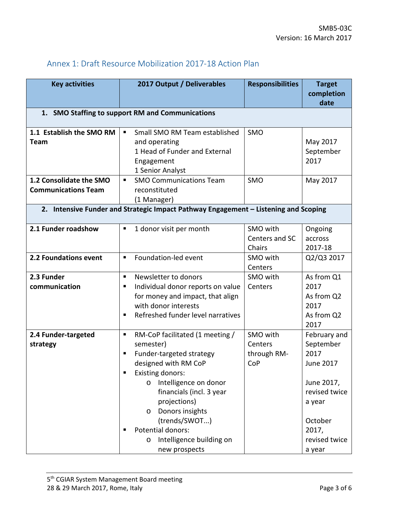|                                                       |                                                                                                                                                                                                                                                                                                                                         |                                           | completion<br>date                                                                                                                     |  |  |
|-------------------------------------------------------|-----------------------------------------------------------------------------------------------------------------------------------------------------------------------------------------------------------------------------------------------------------------------------------------------------------------------------------------|-------------------------------------------|----------------------------------------------------------------------------------------------------------------------------------------|--|--|
| 1. SMO Staffing to support RM and Communications      |                                                                                                                                                                                                                                                                                                                                         |                                           |                                                                                                                                        |  |  |
| 1.1 Establish the SMO RM<br><b>Team</b>               | Small SMO RM Team established<br>$\blacksquare$<br>and operating<br>1 Head of Funder and External<br>Engagement<br>1 Senior Analyst                                                                                                                                                                                                     | SMO                                       | May 2017<br>September<br>2017                                                                                                          |  |  |
| 1.2 Consolidate the SMO<br><b>Communications Team</b> | <b>SMO Communications Team</b><br>п<br>reconstituted<br>(1 Manager)                                                                                                                                                                                                                                                                     | SMO                                       | May 2017                                                                                                                               |  |  |
|                                                       | 2. Intensive Funder and Strategic Impact Pathway Engagement - Listening and Scoping                                                                                                                                                                                                                                                     |                                           |                                                                                                                                        |  |  |
| 2.1 Funder roadshow                                   | 1 donor visit per month<br>п                                                                                                                                                                                                                                                                                                            | SMO with<br>Centers and SC<br>Chairs      | Ongoing<br>accross<br>2017-18                                                                                                          |  |  |
| 2.2 Foundations event                                 | Foundation-led event<br>п                                                                                                                                                                                                                                                                                                               | SMO with<br>Centers                       | Q2/Q3 2017                                                                                                                             |  |  |
| 2.3 Funder<br>communication                           | Newsletter to donors<br>٠<br>Individual donor reports on value<br>п<br>for money and impact, that align<br>with donor interests<br>Refreshed funder level narratives<br>٠                                                                                                                                                               | SMO with<br>Centers                       | As from Q1<br>2017<br>As from Q2<br>2017<br>As from Q2<br>2017                                                                         |  |  |
| 2.4 Funder-targeted<br>strategy                       | RM-CoP facilitated (1 meeting /<br>п<br>semester)<br>Funder-targeted strategy<br>п<br>designed with RM CoP<br><b>Existing donors:</b><br>٠<br>o Intelligence on donor<br>financials (incl. 3 year<br>projections)<br>Donors insights<br>$\circ$<br>(trends/SWOT)<br>Potential donors:<br>Intelligence building on<br>O<br>new prospects | SMO with<br>Centers<br>through RM-<br>CoP | February and<br>September<br>2017<br>June 2017<br>June 2017,<br>revised twice<br>a year<br>October<br>2017,<br>revised twice<br>a year |  |  |

## Annex 1: Draft Resource Mobilization 2017-18 Action Plan

**Key activities 2017 Output / Deliverables Responsibilities Target**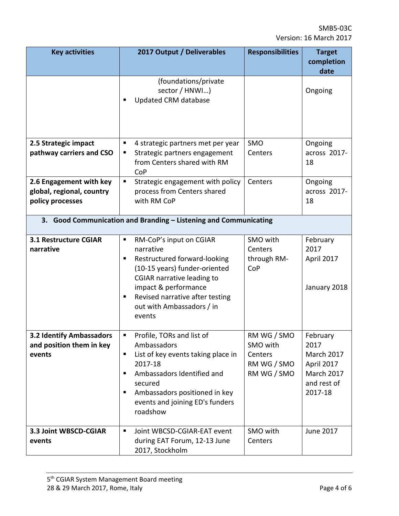| <b>Key activities</b>                                                    | 2017 Output / Deliverables                                                                                                                                                                                                                                  | <b>Responsibilities</b>                                          | <b>Target</b><br>completion<br>date                                                         |  |
|--------------------------------------------------------------------------|-------------------------------------------------------------------------------------------------------------------------------------------------------------------------------------------------------------------------------------------------------------|------------------------------------------------------------------|---------------------------------------------------------------------------------------------|--|
|                                                                          | (foundations/private<br>sector / HNWI)<br>Updated CRM database<br>٠                                                                                                                                                                                         |                                                                  | Ongoing                                                                                     |  |
| 2.5 Strategic impact<br>pathway carriers and CSO                         | 4 strategic partners met per year<br>п<br>Strategic partners engagement<br>п<br>from Centers shared with RM<br>CoP                                                                                                                                          | SMO<br>Centers                                                   | Ongoing<br>across 2017-<br>18                                                               |  |
| 2.6 Engagement with key<br>global, regional, country<br>policy processes | Strategic engagement with policy<br>п<br>process from Centers shared<br>with RM CoP                                                                                                                                                                         | Centers                                                          | Ongoing<br>across 2017-<br>18                                                               |  |
| 3. Good Communication and Branding - Listening and Communicating         |                                                                                                                                                                                                                                                             |                                                                  |                                                                                             |  |
| <b>3.1 Restructure CGIAR</b><br>narrative                                | RM-CoP's input on CGIAR<br>П<br>narrative<br>Restructured forward-looking<br>٠<br>(10-15 years) funder-oriented<br><b>CGIAR narrative leading to</b><br>impact & performance<br>Revised narrative after testing<br>٠<br>out with Ambassadors / in<br>events | SMO with<br>Centers<br>through RM-<br>CoP                        | February<br>2017<br>April 2017<br>January 2018                                              |  |
| <b>3.2 Identify Ambassadors</b><br>and position them in key<br>events    | ٠<br>Profile, TORs and list of<br>Ambassadors<br>List of key events taking place in<br>٠<br>2017-18<br>Ambassadors Identified and<br>٠<br>secured<br>Ambassadors positioned in key<br>п<br>events and joining ED's funders<br>roadshow                      | RM WG / SMO<br>SMO with<br>Centers<br>RM WG / SMO<br>RM WG / SMO | February<br>2017<br><b>March 2017</b><br>April 2017<br>March 2017<br>and rest of<br>2017-18 |  |
| 3.3 Joint WBSCD-CGIAR<br>events                                          | Joint WBCSD-CGIAR-EAT event<br>٠<br>during EAT Forum, 12-13 June<br>2017, Stockholm                                                                                                                                                                         | SMO with<br>Centers                                              | June 2017                                                                                   |  |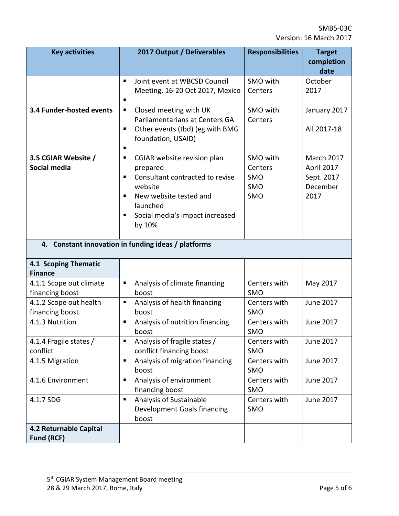| <b>Key activities</b>                               | 2017 Output / Deliverables                                   | <b>Responsibilities</b>    | <b>Target</b>      |  |
|-----------------------------------------------------|--------------------------------------------------------------|----------------------------|--------------------|--|
|                                                     |                                                              |                            | completion<br>date |  |
|                                                     | Joint event at WBCSD Council<br>п                            | SMO with                   | October            |  |
|                                                     | Meeting, 16-20 Oct 2017, Mexico<br>п                         | Centers                    | 2017               |  |
| 3.4 Funder-hosted events                            | Closed meeting with UK<br>п                                  | SMO with                   | January 2017       |  |
|                                                     | Parliamentarians at Centers GA                               | Centers                    |                    |  |
|                                                     | Other events (tbd) (eg with BMG<br>п                         |                            | All 2017-18        |  |
|                                                     | foundation, USAID)<br>п                                      |                            |                    |  |
| 3.5 CGIAR Website /                                 | CGIAR website revision plan<br>٠                             | SMO with                   | <b>March 2017</b>  |  |
| Social media                                        | prepared                                                     | Centers                    | April 2017         |  |
|                                                     | Consultant contracted to revise<br>٠                         | SMO                        | Sept. 2017         |  |
|                                                     | website                                                      | SMO                        | December           |  |
|                                                     | New website tested and<br>п<br>launched                      | <b>SMO</b>                 | 2017               |  |
|                                                     | Social media's impact increased<br>п                         |                            |                    |  |
|                                                     | by 10%                                                       |                            |                    |  |
| 4. Constant innovation in funding ideas / platforms |                                                              |                            |                    |  |
| 4.1 Scoping Thematic<br><b>Finance</b>              |                                                              |                            |                    |  |
| 4.1.1 Scope out climate<br>financing boost          | Analysis of climate financing<br>$\blacksquare$<br>boost     | Centers with<br><b>SMO</b> | May 2017           |  |
| 4.1.2 Scope out health                              | Analysis of health financing<br>П                            | Centers with               | June 2017          |  |
| financing boost                                     | boost                                                        | <b>SMO</b>                 |                    |  |
| 4.1.3 Nutrition                                     | Analysis of nutrition financing<br>$\blacksquare$<br>boost   | Centers with<br><b>SMO</b> | June 2017          |  |
| 4.1.4 Fragile states /                              | Analysis of fragile states /<br>П                            | Centers with               | June 2017          |  |
| conflict                                            | conflict financing boost                                     | <b>SMO</b>                 |                    |  |
| 4.1.5 Migration                                     | Analysis of migration financing<br>$\blacksquare$<br>boost   | Centers with<br>SMO        | June 2017          |  |
| 4.1.6 Environment                                   | Analysis of environment<br>$\blacksquare$<br>financing boost | Centers with<br>SMO        | June 2017          |  |
| 4.1.7 SDG                                           | Analysis of Sustainable<br>П                                 | Centers with               | June 2017          |  |
|                                                     | Development Goals financing<br>boost                         | SMO                        |                    |  |
| 4.2 Returnable Capital                              |                                                              |                            |                    |  |
| Fund (RCF)                                          |                                                              |                            |                    |  |